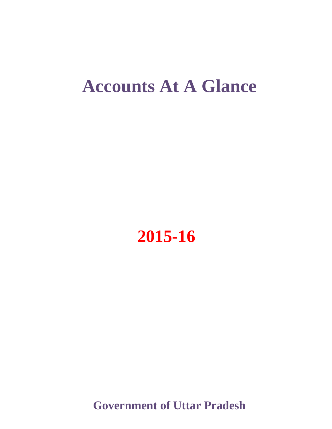# **Accounts At A Glance**



**Government of Uttar Pradesh**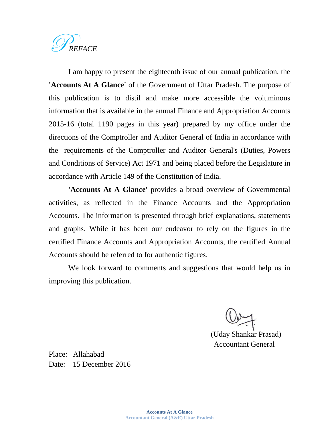

I am happy to present the eighteenth issue of our annual publication, the **'Accounts At A Glance'** of the Government of Uttar Pradesh. The purpose of this publication is to distil and make more accessible the voluminous information that is available in the annual Finance and Appropriation Accounts 2015-16 (total 1190 pages in this year) prepared by my office under the directions of the Comptroller and Auditor General of India in accordance with the requirements of the Comptroller and Auditor General's (Duties, Powers and Conditions of Service) Act 1971 and being placed before the Legislature in accordance with Article 149 of the Constitution of India.

**'Accounts At A Glance'** provides a broad overview of Governmental activities, as reflected in the Finance Accounts and the Appropriation Accounts. The information is presented through brief explanations, statements and graphs. While it has been our endeavor to rely on the figures in the certified Finance Accounts and Appropriation Accounts, the certified Annual Accounts should be referred to for authentic figures.

We look forward to comments and suggestions that would help us in improving this publication.

(Uday Shankar Prasad) Accountant General

Place: Allahabad Date: 15 December 2016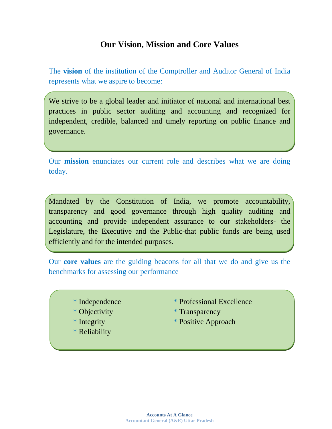## **Our Vision, Mission and Core Values**

The **vision** of the institution of the Comptroller and Auditor General of India represents what we aspire to become:

We strive to be a global leader and initiator of national and international best practices in public sector auditing and accounting and recognized for independent, credible, balanced and timely reporting on public finance and governance.

Our **mission** enunciates our current role and describes what we are doing today.

Mandated by the Constitution of India, we promote accountability, transparency and good governance through high quality auditing and accounting and provide independent assurance to our stakeholders- the Legislature, the Executive and the Public-that public funds are being used efficiently and for the intended purposes.

Our **core values** are the guiding beacons for all that we do and give us the benchmarks for assessing our performance

- 
- 
- 
- \* Reliability
- \* Independence \* Professional Excellence
- \* Objectivity \* Transparency
- \* Integrity \* Positive Approach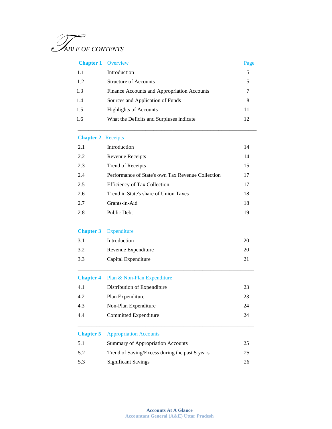

| <b>Chapter 1</b> Overview |                                             | Page |
|---------------------------|---------------------------------------------|------|
| 1.1                       | Introduction                                | 5    |
| 1.2                       | <b>Structure of Accounts</b>                | 5    |
| 1.3                       | Finance Accounts and Appropriation Accounts |      |
| 1.4                       | Sources and Application of Funds            | 8    |
| 1.5                       | <b>Highlights of Accounts</b>               | 11   |
| 1.6                       | What the Deficits and Surpluses indicate    | 12   |
|                           |                                             |      |

 $\overline{\phantom{a}}$  , and the contract of the contract of the contract of the contract of the contract of the contract of the contract of the contract of the contract of the contract of the contract of the contract of the contrac

#### **Chapter 2** Receipts

| 2.1 | Introduction                                      | 14 |
|-----|---------------------------------------------------|----|
| 2.2 | Revenue Receipts                                  | 14 |
| 2.3 | Trend of Receipts                                 | 15 |
| 2.4 | Performance of State's own Tax Revenue Collection | 17 |
| 2.5 | <b>Efficiency of Tax Collection</b>               | 17 |
| 2.6 | Trend in State's share of Union Taxes             | 18 |
| 2.7 | Grants-in-Aid                                     | 18 |
| 2.8 | <b>Public Debt</b>                                | 19 |

#### **Chapter 3** Expenditure

| 3.1 | Introduction        |    |
|-----|---------------------|----|
| 3.2 | Revenue Expenditure | 20 |
| 3.3 | Capital Expenditure |    |

\_\_\_\_\_\_\_\_\_\_\_\_\_\_\_\_\_\_\_\_\_\_\_\_\_\_\_\_\_\_\_\_\_\_\_\_\_\_\_\_\_\_\_\_\_\_\_\_\_\_\_\_\_\_\_\_\_\_\_\_\_\_\_\_\_

\_\_\_\_\_\_\_\_\_\_\_\_\_\_\_\_\_\_\_\_\_\_\_\_\_\_\_\_\_\_\_\_\_\_\_\_\_\_\_\_\_\_\_\_\_\_\_\_\_\_\_\_\_\_\_\_\_\_\_\_\_\_\_\_\_

#### **Chapter 4** Plan & Non-Plan Expenditure

| 4.1 | Distribution of Expenditure | 23 |
|-----|-----------------------------|----|
| 4.2 | Plan Expenditure            | 23 |
| 4.3 | Non-Plan Expenditure        | 24 |
| 4.4 | Committed Expenditure       | 24 |

\_\_\_\_\_\_\_\_\_\_\_\_\_\_\_\_\_\_\_\_\_\_\_\_\_\_\_\_\_\_\_\_\_\_\_\_\_\_\_\_\_\_\_\_\_\_\_\_\_\_\_\_\_\_\_\_\_\_\_\_\_\_\_\_\_

#### **Chapter 5** Appropriation Accounts

| 5.1 | <b>Summary of Appropriation Accounts</b>       |    |
|-----|------------------------------------------------|----|
| 5.2 | Trend of Saving/Excess during the past 5 years | 25 |
| 5.3 | <b>Significant Savings</b>                     | 26 |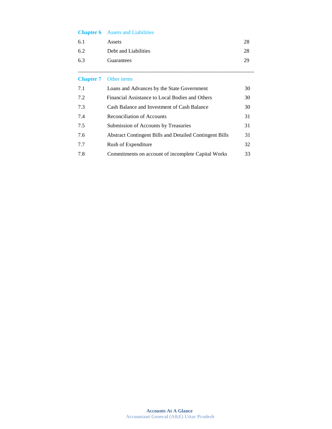| <b>Chapter 6</b> | <b>Assets and Liabilities</b> |  |
|------------------|-------------------------------|--|
|------------------|-------------------------------|--|

| 6.1 | Assets               |    |
|-----|----------------------|----|
| 6.2 | Debt and Liabilities | 28 |
| 6.3 | Guarantees           | 29 |

\_\_\_\_\_\_\_\_\_\_\_\_\_\_\_\_\_\_\_\_\_\_\_\_\_\_\_\_\_\_\_\_\_\_\_\_\_\_\_\_\_\_\_\_\_\_\_\_\_\_\_\_\_\_\_\_\_\_\_\_\_\_\_\_\_

#### **Chapter 7** Other items

| 7.1 | Loans and Advances by the State Government                     | 30 |
|-----|----------------------------------------------------------------|----|
| 7.2 | Financial Assistance to Local Bodies and Others                | 30 |
| 7.3 | Cash Balance and Investment of Cash Balance                    | 30 |
| 7.4 | <b>Reconciliation of Accounts</b>                              | 31 |
| 7.5 | Submission of Accounts by Treasuries                           | 31 |
| 7.6 | <b>Abstract Contingent Bills and Detailed Contingent Bills</b> | 31 |
| 7.7 | Rush of Expenditure                                            | 32 |
| 7.8 | Commitments on account of incomplete Capital Works             | 33 |
|     |                                                                |    |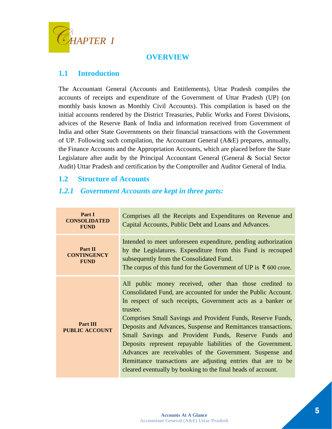

## **OVERVIEW**

## **1.1 Introduction**

The Accountant General (Accounts and Entitlements), Uttar Pradesh compiles the accounts of receipts and expenditure of the Government of Uttar Pradesh (UP) (on monthly basis known as Monthly Civil Accounts). This compilation is based on the initial accounts rendered by the District Treasuries, Public Works and Forest Divisions, advices of the Reserve Bank of India and information received from Government of India and other State Governments on their financial transactions with the Government of UP. Following such compilation, the Accountant General (A&E) prepares, annually, the Finance Accounts and the Appropriation Accounts, which are placed before the State Legislature after audit by the Principal Accountant General (General & Social Sector Audit) Uttar Pradesh and certification by the Comptroller and Auditor General of India.

## **1.2 Structure of Accounts**

## *1.2.1 Government Accounts are kept in three parts:*

| Part I<br><b>CONSOLIDATED</b><br><b>FUND</b> | Comprises all the Receipts and Expenditures on Revenue and<br>Capital Accounts, Public Debt and Loans and Advances.                                                                                                                                                                                                                                                                                                                                                                                                                                                                                                                                     |  |  |
|----------------------------------------------|---------------------------------------------------------------------------------------------------------------------------------------------------------------------------------------------------------------------------------------------------------------------------------------------------------------------------------------------------------------------------------------------------------------------------------------------------------------------------------------------------------------------------------------------------------------------------------------------------------------------------------------------------------|--|--|
| Part II<br><b>CONTINGENCY</b><br><b>FUND</b> | Intended to meet unforeseen expenditure, pending authorization<br>by the Legislatures. Expenditure from this Fund is recouped<br>subsequently from the Consolidated Fund.<br>The corpus of this fund for the Government of UP is $\bar{\tau}$ 600 crore.                                                                                                                                                                                                                                                                                                                                                                                                |  |  |
| Part III<br><b>PUBLIC ACCOUNT</b>            | All public money received, other than those credited to<br>Consolidated Fund, are accounted for under the Public Account.<br>In respect of such receipts, Government acts as a banker or<br>trustee.<br>Comprises Small Savings and Provident Funds, Reserve Funds,<br>Deposits and Advances, Suspense and Remittances transactions.<br>Small Savings and Provident Funds, Reserve Funds and<br>Deposits represent repayable liabilities of the Government.<br>Advances are receivables of the Government. Suspense and<br>Remittance transactions are adjusting entries that are to be<br>cleared eventually by booking to the final heads of account. |  |  |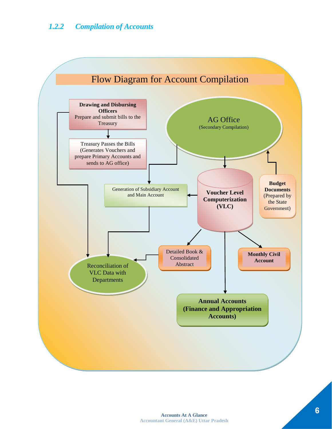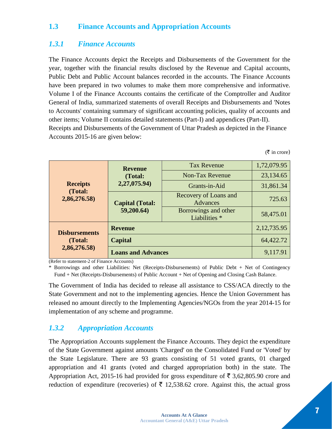## **1.3 Finance Accounts and Appropriation Accounts**

#### *1.3.1 Finance Accounts*

The Finance Accounts depict the Receipts and Disbursements of the Government for the year, together with the financial results disclosed by the Revenue and Capital accounts, Public Debt and Public Account balances recorded in the accounts. The Finance Accounts have been prepared in two volumes to make them more comprehensive and informative. Volume I of the Finance Accounts contains the certificate of the Comptroller and Auditor General of India, summarized statements of overall Receipts and Disbursements and 'Notes to Accounts' containing summary of significant accounting policies, quality of accounts and other items; Volume II contains detailed statements (Part-I) and appendices (Part-II). Receipts and Disbursements of the Government of Uttar Pradesh as depicted in the Finance Accounts 2015-16 are given below:

 $(\bar{\bar{\zeta}})$  in crore)

|                            | <b>Revenue</b><br>(Total:<br>2,27,075.94) | <b>Tax Revenue</b>                       | 1,72,079.95   |
|----------------------------|-------------------------------------------|------------------------------------------|---------------|
|                            |                                           | <b>Non-Tax Revenue</b>                   | 23,134.65     |
| <b>Receipts</b><br>(Total: |                                           | Grants-in-Aid                            | 31,861.34     |
| 2,86,276.58)               | <b>Capital (Total:</b><br>59,200.64)      | <b>Recovery of Loans and</b><br>Advances | 725.63        |
|                            |                                           | Borrowings and other<br>Liabilities *    | 58,475.01     |
| <b>Disbursements</b>       | <b>Revenue</b>                            |                                          | 2, 12, 735.95 |
| (Total:                    | Capital                                   |                                          | 64,422.72     |
| 2,86,276.58)               | <b>Loans and Advances</b>                 |                                          | 9,117.91      |

(Refer to statement-2 of Finance Accounts)

\* Borrowings and other Liabilities: Net (Receipts-Disbursements) of Public Debt + Net of Contingency Fund + Net (Receipts-Disbursements) of Public Account + Net of Opening and Closing Cash Balance.

The Government of India has decided to release all assistance to CSS/ACA directly to the State Government and not to the implementing agencies. Hence the Union Government has released no amount directly to the Implementing Agencies/NGOs from the year 2014-15 for implementation of any scheme and programme.

#### *1.3.2 Appropriation Accounts*

The Appropriation Accounts supplement the Finance Accounts. They depict the expenditure of the State Government against amounts 'Charged' on the Consolidated Fund or 'Voted' by the State Legislature. There are 93 grants consisting of 51 voted grants, 01 charged appropriation and 41 grants (voted and charged appropriation both) in the state. The Appropriation Act, 2015-16 had provided for gross expenditure of  $\bar{\tau}$  3,62,805.90 crore and reduction of expenditure (recoveries) of  $\bar{\tau}$  12,538.62 crore. Against this, the actual gross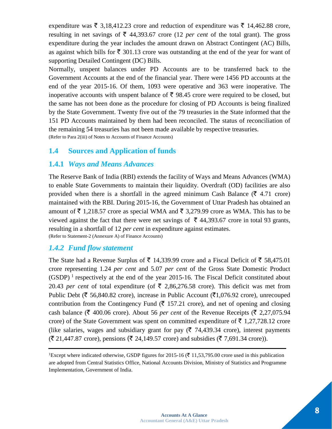expenditure was  $\bar{\xi}$  3,18,412.23 crore and reduction of expenditure was  $\bar{\xi}$  14,462.88 crore, resulting in net savings of  $\bar{\tau}$  44,393.67 crore (12 *per cent* of the total grant). The gross expenditure during the year includes the amount drawn on Abstract Contingent (AC) Bills, as against which bills for  $\bar{\xi}$  301.13 crore was outstanding at the end of the year for want of supporting Detailed Contingent (DC) Bills.

Normally, unspent balances under PD Accounts are to be transferred back to the Government Accounts at the end of the financial year. There were 1456 PD accounts at the end of the year 2015-16. Of them, 1093 were operative and 363 were inoperative. The inoperative accounts with unspent balance of  $\bar{\tau}$  98.45 crore were required to be closed, but the same has not been done as the procedure for closing of PD Accounts is being finalized by the State Government. Twenty five out of the 79 treasuries in the State informed that the 151 PD Accounts maintained by them had been reconciled. The status of reconciliation of the remaining 54 treasuries has not been made available by respective treasuries. (Refer to Para 2(iii) of Notes to Accounts of Finance Accounts)

#### **1.4 Sources and Application of funds**

#### **1.4.1** *Ways and Means Advances*

The Reserve Bank of India (RBI) extends the facility of Ways and Means Advances (WMA) to enable State Governments to maintain their liquidity. Overdraft (OD) facilities are also provided when there is a shortfall in the agreed minimum Cash Balance ( $\bar{\tau}$  4.71 crore) maintained with the RBI. During 2015-16, the Government of Uttar Pradesh has obtained an amount of  $\bar{\tau}$  1,218.57 crore as special WMA and  $\bar{\tau}$  3,279.99 crore as WMA. This has to be viewed against the fact that there were net savings of  $\bar{\tau}$  44,393.67 crore in total 93 grants, resulting in a shortfall of 12 *per cent* in expenditure against estimates. (Refer to Statement-2 (Annexure A) of Finance Accounts)

#### *1.4.2 Fund flow statement*

The State had a Revenue Surplus of  $\bar{\tau}$  14,339.99 crore and a Fiscal Deficit of  $\bar{\tau}$  58,475.01 crore representing 1.24 *per cent* and 5.07 *per cent* of the Gross State Domestic Product  $(GSDP)<sup>1</sup>$  respectively at the end of the year 2015-16. The Fiscal Deficit constituted about 20.43 *per cent* of total expenditure (of  $\bar{\tau}$  2,86,276.58 crore). This deficit was met from Public Debt ( $\bar{\tau}$  56,840.82 crore), increase in Public Account ( $\bar{\tau}$ 1,076.92 crore), unrecouped contribution from the Contingency Fund  $(\bar{\mathbf{\zeta}} \quad 157.21$  crore), and net of opening and closing cash balance ( $\bar{\tau}$  400.06 crore). About 56 *per cent* of the Revenue Receipts ( $\bar{\tau}$  2,27,075.94 crore) of the State Government was spent on committed expenditure of  $\bar{\tau}$  1,27,728.12 crore (like salaries, wages and subsidiary grant for pay ( $\bar{\tau}$  74,439.34 crore), interest payments  $(\bar{\mathfrak{F}} 21,447.87 \text{ core})$ , pensions  $(\bar{\mathfrak{F}} 24,149.57 \text{ core})$  and subsidies  $(\bar{\mathfrak{F}} 7,691.34 \text{ core})$ .

<sup>&</sup>lt;sup>1</sup>Except where indicated otherwise, GSDP figures for 2015-16 ( $\bar{\tau}$  11,53,795.00 crore used in this publication are adopted from Central Statistics Office, National Accounts Division, Ministry of Statistics and Programme Implementation, Government of India.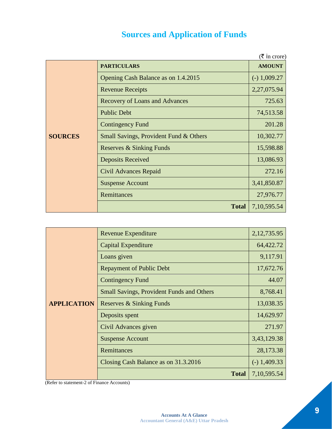## **Sources and Application of Funds**

|                |                                        | $(\bar{\bar{\zeta}})$ in crore) |
|----------------|----------------------------------------|---------------------------------|
|                | <b>PARTICULARS</b>                     | <b>AMOUNT</b>                   |
|                | Opening Cash Balance as on 1.4.2015    | $(-) 1,009.27$                  |
|                | <b>Revenue Receipts</b>                | 2,27,075.94                     |
|                | <b>Recovery of Loans and Advances</b>  | 725.63                          |
|                | <b>Public Debt</b>                     | 74,513.58                       |
|                | <b>Contingency Fund</b>                | 201.28                          |
| <b>SOURCES</b> | Small Savings, Provident Fund & Others | 10,302.77                       |
|                | Reserves & Sinking Funds               | 15,598.88                       |
|                | <b>Deposits Received</b>               | 13,086.93                       |
|                | Civil Advances Repaid                  | 272.16                          |
|                | <b>Suspense Account</b>                | 3,41,850.87                     |
|                | Remittances                            | 27,976.77                       |
|                | <b>Total</b>                           | 7, 10, 595.54                   |

|                    | Revenue Expenditure                              | 2, 12, 735.95  |
|--------------------|--------------------------------------------------|----------------|
|                    | Capital Expenditure                              | 64,422.72      |
|                    | Loans given                                      | 9,117.91       |
|                    | <b>Repayment of Public Debt</b>                  | 17,672.76      |
|                    | <b>Contingency Fund</b>                          | 44.07          |
|                    | <b>Small Savings, Provident Funds and Others</b> | 8,768.41       |
| <b>APPLICATION</b> | Reserves & Sinking Funds                         | 13,038.35      |
|                    | Deposits spent                                   | 14,629.97      |
|                    | Civil Advances given                             | 271.97         |
|                    | <b>Suspense Account</b>                          | 3,43,129.38    |
|                    | <b>Remittances</b>                               | 28,173.38      |
|                    | Closing Cash Balance as on 31.3.2016             | $(-)$ 1,409.33 |
|                    | <b>Total</b>                                     | 7,10,595.54    |

(Refer to statement-2 of Finance Accounts)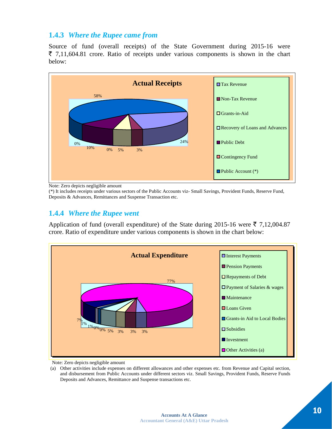## **1.4.3** *Where the Rupee came from*

Source of fund (overall receipts) of the State Government during 2015-16 were  $\bar{\xi}$  7,11,604.81 crore. Ratio of receipts under various components is shown in the chart below:



Note: Zero depicts negligible amount

(\*) It includes receipts under various sectors of the Public Accounts viz- Small Savings, Provident Funds, Reserve Fund, Deposits & Advances, Remittances and Suspense Transaction etc.

#### **1.4.4** *Where the Rupee went*

Application of fund (overall expenditure) of the State during 2015-16 were  $\bar{\tau}$  7,12,004.87 crore. Ratio of expenditure under various components is shown in the chart below:



Note: Zero depicts negligible amount

(a) Other activities include expenses on different allowances and other expenses etc. from Revenue and Capital section, and disbursement from Public Accounts under different sectors viz. Small Savings, Provident Funds, Reserve Funds Deposits and Advances, Remittance and Suspense transactions etc.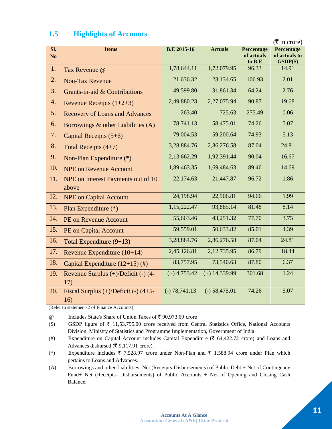|                       | $(\bar{\bar{\mathbf{\xi}}}$ in crore)            |                    |                 |                                    |                                           |
|-----------------------|--------------------------------------------------|--------------------|-----------------|------------------------------------|-------------------------------------------|
| Sl.<br>N <sub>o</sub> | <b>Items</b>                                     | <b>B.E 2015-16</b> | <b>Actuals</b>  | Percentage<br>of actuals<br>to B.E | Percentage<br>of actuals to<br>$GSDP(\$)$ |
| 1.                    | Tax Revenue @                                    | 1,78,644.11        | 1,72,079.95     | 96.33                              | 14.91                                     |
| 2.                    | <b>Non-Tax Revenue</b>                           | 21,636.32          | 23,134.65       | 106.93                             | 2.01                                      |
| 3.                    | Grants-in-aid & Contributions                    | 49,599.80          | 31,861.34       | 64.24                              | 2.76                                      |
| 4.                    | Revenue Receipts $(1+2+3)$                       | 2,49,880.23        | 2,27,075.94     | 90.87                              | 19.68                                     |
| 5.                    | <b>Recovery of Loans and Advances</b>            | 263.40             | 725.63          | 275.49                             | 0.06                                      |
| 6.                    | Borrowings & other Liabilities (A)               | 78,741.13          | 58,475.01       | 74.26                              | 5.07                                      |
| 7.                    | Capital Receipts (5+6)                           | 79,004.53          | 59,200.64       | 74.93                              | $\overline{5.13}$                         |
| 8.                    | Total Receipts $(4+7)$                           | 3,28,884.76        | 2,86,276.58     | 87.04                              | 24.81                                     |
| 9.                    | Non-Plan Expenditure (*)                         | 2,13,662.29        | 1,92,391.44     | 90.04                              | 16.67                                     |
| 10.                   | <b>NPE</b> on Revenue Account                    | 1,89,463.35        | 1,69,484.63     | 89.46                              | 14.69                                     |
| 11.                   | NPE on Interest Payments out of 10<br>above      | 22,174.63          | 21,447.87       | 96.72                              | 1.86                                      |
| 12.                   | <b>NPE</b> on Capital Account                    | 24,198.94          | 22,906.81       | 94.66                              | 1.99                                      |
| 13.                   | Plan Expenditure (*)                             | 1,15,222.47        | 93,885.14       | 81.48                              | 8.14                                      |
| 14.                   | <b>PE on Revenue Account</b>                     | 55,663.46          | 43,251.32       | 77.70                              | 3.75                                      |
| 15.                   | PE on Capital Account                            | 59,559.01          | 50,633.82       | 85.01                              | 4.39                                      |
| 16.                   | Total Expenditure $(9+13)$                       | 3,28,884.76        | 2,86,276.58     | 87.04                              | 24.81                                     |
| 17.                   | Revenue Expenditure $(10+14)$                    | 2,45,126.81        | 2,12,735.95     | 86.79                              | 18.44                                     |
| 18.                   | Capital Expenditure $(12+15)$ (#)                | 83,757.95          | 73,540.63       | 87.80                              | 6.37                                      |
| 19.                   | Revenue Surplus (+)/Deficit (-) (4-<br>17)       | $(+)$ 4,753.42     | $(+)$ 14,339.99 | 301.68                             | 1.24                                      |
| 20.                   | Fiscal Surplus $(+)/$ Deficit $(-)$ (4+5-<br>16) | $(-) 78,741.13$    | $(-) 58,475.01$ | 74.26                              | 5.07                                      |

## **1.5 Highlights of Accounts**

(Refer to statement-2 of Finance Accounts)

 $@$  Includes State's Share of Union Taxes of ₹ 90,973.69 crore

(\$) GSDP figure of  $\bar{\tau}$  11,53,795.00 crore received from Central Statistics Office, National Accounts Division, Ministry of Statistics and Programme Implementation, Government of India.

(#) Expenditure on Capital Account includes Capital Expenditure ( $\bar{\epsilon}$  64,422.72 crore) and Loans and Advances disbursed ( $\bar{\mathfrak{c}}$  9,117.91 crore).

(\*) Expenditure includes  $\overline{\zeta}$  7,528.97 crore under Non-Plan and  $\overline{\zeta}$  1,588.94 crore under Plan which pertains to Loans and Advances.

(A) Borrowings and other Liabilities: Net (Receipts-Disbursements) of Public Debt + Net of Contingency Fund+ Net (Receipts- Disbursements) of Public Accounts + Net of Opening and Closing Cash Balance.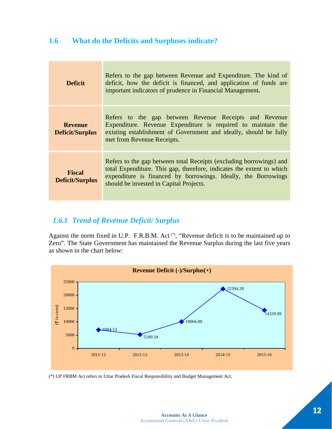## **1.6 What do the Deficits and Surpluses indicate?**

| <b>Deficit</b>                          | Refers to the gap between Revenue and Expenditure. The kind of<br>deficit, how the deficit is financed, and application of funds are<br>important indicators of prudence in Financial Management.                                                         |
|-----------------------------------------|-----------------------------------------------------------------------------------------------------------------------------------------------------------------------------------------------------------------------------------------------------------|
| <b>Revenue</b><br>Deficit/Surplus       | Refers to the gap between Revenue Receipts and Revenue<br>Expenditure. Revenue Expenditure is required to maintain the<br>existing establishment of Government and ideally, should be fully<br>met from Revenue Receipts.                                 |
| <b>Fiscal</b><br><b>Deficit/Surplus</b> | Refers to the gap between total Receipts (excluding borrowings) and<br>total Expenditure. This gap, therefore, indicates the extent to which<br>expenditure is financed by borrowings. Ideally, the Borrowings<br>should be invested in Capital Projects. |

## *1.6.1 Trend of Revenue Deficit/ Surplus*

Against the norm fixed in U.P. F.R.B.M. Act<sup>(\*)</sup>, "Revenue deficit is to be maintained up to Zero". The State Government has maintained the Revenue Surplus during the last five years as shown in the chart below:



(\*) UP FRBM Act refers to Uttar Pradesh Fiscal Responsibility and Budget Management Act*.*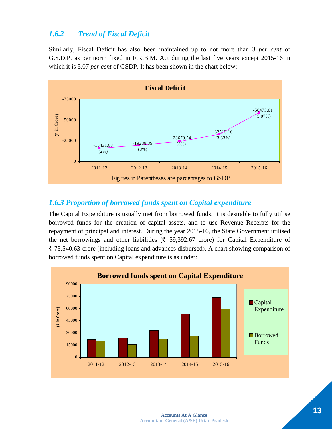## *1.6.2 Trend of Fiscal Deficit*

Similarly, Fiscal Deficit has also been maintained up to not more than 3 *per cent* of G.S.D.P. as per norm fixed in F.R.B.M. Act during the last five years except 2015-16 in which it is 5.07 *per cent* of GSDP. It has been shown in the chart below:



#### *1.6.3 Proportion of borrowed funds spent on Capital expenditure*

The Capital Expenditure is usually met from borrowed funds. It is desirable to fully utilise borrowed funds for the creation of capital assets, and to use Revenue Receipts for the repayment of principal and interest. During the year 2015-16, the State Government utilised the net borrowings and other liabilities ( $\bar{\tau}$  59,392.67 crore) for Capital Expenditure of  $\bar{\xi}$  73,540.63 crore (including loans and advances disbursed). A chart showing comparison of borrowed funds spent on Capital expenditure is as under:

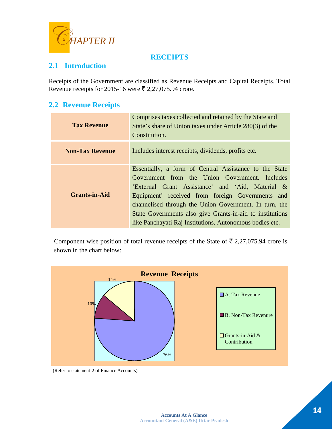

## **RECEIPTS**

## **2.1 Introduction**

Receipts of the Government are classified as Revenue Receipts and Capital Receipts. Total Revenue receipts for 2015-16 were  $\bar{\tau}$  2,27,075.94 crore.

#### **2.2 Revenue Receipts**

| <b>Tax Revenue</b>     | Comprises taxes collected and retained by the State and<br>State's share of Union taxes under Article 280(3) of the<br>Constitution.                                                                                                                                                                                                                                                                |
|------------------------|-----------------------------------------------------------------------------------------------------------------------------------------------------------------------------------------------------------------------------------------------------------------------------------------------------------------------------------------------------------------------------------------------------|
| <b>Non-Tax Revenue</b> | Includes interest receipts, dividends, profits etc.                                                                                                                                                                                                                                                                                                                                                 |
| <b>Grants-in-Aid</b>   | Essentially, a form of Central Assistance to the State<br>Government from the Union Government. Includes<br>'External Grant Assistance' and 'Aid, Material &<br>Equipment' received from foreign Governments and<br>channelised through the Union Government. In turn, the<br>State Governments also give Grants-in-aid to institutions<br>like Panchayati Raj Institutions, Autonomous bodies etc. |

Component wise position of total revenue receipts of the State of  $\bar{\tau}$  2,27,075.94 crore is shown in the chart below:



(Refer to statement-2 of Finance Accounts)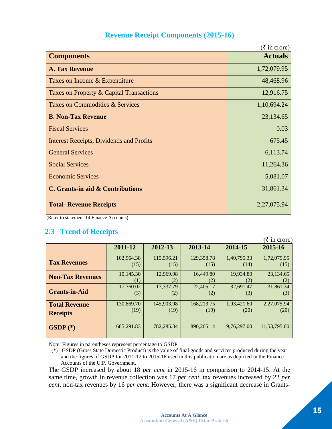## **Revenue Receipt Components (2015-16)**

|                                                 | $(\bar{\bar{\mathbf{\tau}}}$ in crore) |
|-------------------------------------------------|----------------------------------------|
| <b>Components</b>                               | <b>Actuals</b>                         |
| <b>A. Tax Revenue</b>                           | 1,72,079.95                            |
| Taxes on Income & Expenditure                   | 48,468.96                              |
| Taxes on Property & Capital Transactions        | 12,916.75                              |
| Taxes on Commodities & Services                 | 1,10,694.24                            |
| <b>B. Non-Tax Revenue</b>                       | 23,134.65                              |
| <b>Fiscal Services</b>                          | 0.03                                   |
| <b>Interest Receipts, Dividends and Profits</b> | 675.45                                 |
| <b>General Services</b>                         | 6,113.74                               |
| <b>Social Services</b>                          | 11,264.36                              |
| <b>Economic Services</b>                        | 5,081.07                               |
| C. Grants-in aid & Contributions                | 31,861.34                              |
| <b>Total- Revenue Receipts</b>                  | 2,27,075.94                            |

(Refer to statement-14 Finance Accounts)

## **2.3 Trend of Receipts**

|                         |            |            |            |             | $(\overline{\mathfrak{k}})$ in crore) |
|-------------------------|------------|------------|------------|-------------|---------------------------------------|
|                         | 2011-12    | 2012-13    | 2013-14    | 2014-15     | 2015-16                               |
| <b>Tax Revenues</b>     | 102,964.38 | 115,596.21 | 129,358.78 | 1,40,795.33 | 1,72,079.95                           |
|                         | (15)       | (15)       | (15)       | (14)        | (15)                                  |
| <b>Non-Tax Revenues</b> | 10,145.30  | 12,969.98  | 16,449.80  | 19,934.80   | 23,134.65                             |
|                         | (1)        | (2)        | (2)        | (2)         | (2)                                   |
| <b>Grants-in-Aid</b>    | 17,760.02  | 17,337.79  | 22,405.17  | 32,691.47   | 31,861.34                             |
|                         | (3)        | (2)        | (2)        | (3)         | (3)                                   |
| <b>Total Revenue</b>    | 130,869.70 | 145,903.98 | 168,213.75 | 1,93,421.60 | 2,27,075.94                           |
| <b>Receipts</b>         | (19)       | (19)       | (19)       | (20)        | (20)                                  |
| $GSDP$ $(*)$            | 685,291.83 | 782,285.34 | 890,265.14 | 9,76,297.00 | 11,53,795.00                          |

Note: Figures in parentheses represent percentage to GSDP

 (\*) GSDP (Gross State Domestic Product) is the value of final goods and services produced during the year and the figures of GSDP for 2011-12 to 2015-16 used in this publication are as depicted in the Finance Accounts of the U.P. Government.

The GSDP increased by about 18 *per cent* in 2015-16 in comparison to 2014-15. At the same time, growth in revenue collection was 17 *per cent*, tax revenues increased by 22 *per cent*, non-tax revenues by 16 p*er cent*. However, there was a significant decrease in Grants-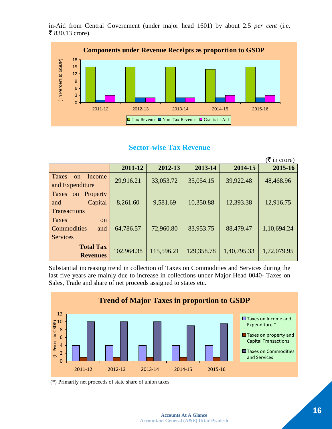in-Aid from Central Government (under major head 1601) by about 2.5 *per cent* (i.e. ₹ 830.13 crore).



## **Sector-wise Tax Revenue**

|                                                                  |            |            |            |             | $(\bar{\bar{\mathbf{\tau}}}$ in crore) |
|------------------------------------------------------------------|------------|------------|------------|-------------|----------------------------------------|
|                                                                  | 2011-12    | 2012-13    | 2013-14    | 2014-15     | 2015-16                                |
| Taxes<br><b>Income</b><br>$\alpha$<br>and Expenditure            | 29,916.21  | 33,053.72  | 35,054.15  | 39,922.48   | 48,468.96                              |
| Property<br>Taxes<br>on<br>Capital<br>and<br><b>Transactions</b> | 8,261.60   | 9,581.69   | 10,350.88  | 12,393.38   | 12,916.75                              |
| Taxes<br><sub>on</sub><br>Commodities<br>and<br><b>Services</b>  | 64,786.57  | 72,960.80  | 83,953.75  | 88,479.47   | 1,10,694.24                            |
| <b>Total Tax</b><br><b>Revenues</b>                              | 102,964.38 | 115,596.21 | 129,358.78 | 1,40,795.33 | 1,72,079.95                            |

Substantial increasing trend in collection of Taxes on Commodities and Services during the last five years are mainly due to increase in collections under Major Head 0040- Taxes on Sales, Trade and share of net proceeds assigned to states etc.



(\*) Primarily net proceeds of state share of union taxes.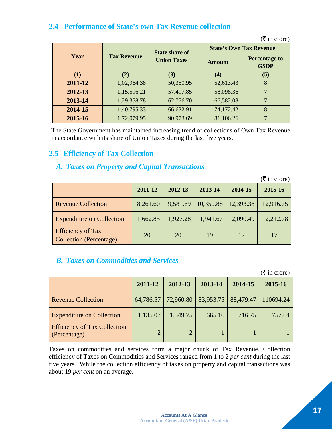## **2.4 Performance of State's own Tax Revenue collection**

|         |                    | <b>State share of</b> | <b>State's Own Tax Revenue</b> |                                     |
|---------|--------------------|-----------------------|--------------------------------|-------------------------------------|
| Year    | <b>Tax Revenue</b> | <b>Union Taxes</b>    | Amount                         | <b>Percentage to</b><br><b>GSDP</b> |
| (1)     | (2)                | (3)                   | (4)                            | (5)                                 |
| 2011-12 | 1,02,964.38        | 50,350.95             | 52,613.43                      | 8                                   |
| 2012-13 | 1,15,596.21        | 57,497.85             | 58,098.36                      | 7                                   |
| 2013-14 | 1,29,358.78        | 62,776.70             | 66,582.08                      | 7                                   |
| 2014-15 | 1,40,795.33        | 66,622.91             | 74,172.42                      | 8                                   |
| 2015-16 | 1,72,079.95        | 90,973.69             | 81,106.26                      | ⇁                                   |

 $(\overline{\mathfrak{F}}$  in crore)

The State Government has maintained increasing trend of collections of Own Tax Revenue in accordance with its share of Union Taxes during the last five years.

## **2.5 Efficiency of Tax Collection**

## *A. Taxes on Property and Capital Transactions*

|                                                            |          |          |           |           | $(\bar{\bar{\mathbf{\tau}}}$ in crore) |
|------------------------------------------------------------|----------|----------|-----------|-----------|----------------------------------------|
|                                                            | 2011-12  | 2012-13  | 2013-14   | 2014-15   | 2015-16                                |
| <b>Revenue Collection</b>                                  | 8,261.60 | 9,581.69 | 10,350.88 | 12,393.38 | 12,916.75                              |
| <b>Expenditure on Collection</b>                           | 1,662.85 | 1,927.28 | 1,941.67  | 2,090.49  | 2,212.78                               |
| <b>Efficiency of Tax</b><br><b>Collection</b> (Percentage) | 20       | 20       | 19        | 17        | 17                                     |

## *B. Taxes on Commodities and Services*

|                                                     |               |                       |         |           | $(\bar{\bar{\mathbf{\tau}}}$ in crore) |
|-----------------------------------------------------|---------------|-----------------------|---------|-----------|----------------------------------------|
|                                                     | 2011-12       | 2012-13               | 2013-14 | 2014-15   | 2015-16                                |
| <b>Revenue Collection</b>                           | 64,786.57     | 72,960.80   83,953.75 |         | 88,479.47 | 110694.24                              |
| <b>Expenditure on Collection</b>                    | 1,135.07      | 1,349.75              | 665.16  | 716.75    | 757.64                                 |
| <b>Efficiency of Tax Collection</b><br>(Percentage) | $\mathcal{D}$ |                       |         |           |                                        |

Taxes on commodities and services form a major chunk of Tax Revenue. Collection efficiency of Taxes on Commodities and Services ranged from 1 to 2 *per cent* during the last five years. While the collection efficiency of taxes on property and capital transactions was about 19 *per cent* on an average.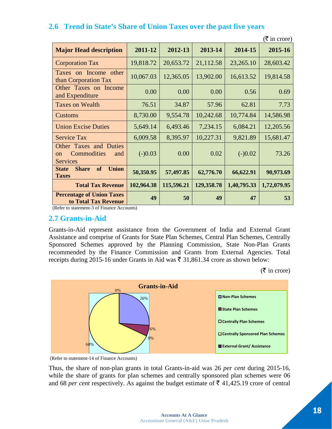|                                                                                  |            |            |            |             | $(\bar{\bar{\mathbf{\mathsf{z}}}})$ in crore) |
|----------------------------------------------------------------------------------|------------|------------|------------|-------------|-----------------------------------------------|
| <b>Major Head description</b>                                                    | 2011-12    | 2012-13    | 2013-14    | 2014-15     | 2015-16                                       |
| <b>Corporation Tax</b>                                                           | 19,818.72  | 20,653.72  | 21,112.58  | 23,265.10   | 28,603.42                                     |
| Taxes on Income other<br>than Corporation Tax                                    | 10,067.03  | 12,365.05  | 13,902.00  | 16,613.52   | 19,814.58                                     |
| Other Taxes on Income<br>and Expenditure                                         | 0.00       | 0.00       | 0.00       | 0.56        | 0.69                                          |
| <b>Taxes on Wealth</b>                                                           | 76.51      | 34.87      | 57.96      | 62.81       | 7.73                                          |
| <b>Customs</b>                                                                   | 8,730.00   | 9,554.78   | 10,242.68  | 10,774.84   | 14,586.98                                     |
| <b>Union Excise Duties</b>                                                       | 5,649.14   | 6,493.46   | 7,234.15   | 6,084.21    | 12,205.56                                     |
| <b>Service Tax</b>                                                               | 6,009.58   | 8,395.97   | 10,227.31  | 9,821.89    | 15,681.47                                     |
| Other Taxes and Duties<br>Commodities<br>and<br><sub>on</sub><br><b>Services</b> | $(-)0.03$  | 0.00       | 0.02       | $(-)0.02$   | 73.26                                         |
| <b>Union</b><br><b>Share</b><br>of<br><b>State</b><br><b>Taxes</b>               | 50,350.95  | 57,497.85  | 62,776.70  | 66,622.91   | 90,973.69                                     |
| <b>Total Tax Revenue</b>                                                         | 102,964.38 | 115,596.21 | 129,358.78 | 1,40,795.33 | 1,72,079.95                                   |
| <b>Percentage of Union Taxes</b><br>to Total Tax Revenue                         | 49         | 50         | 49         | 47          | 53                                            |

## **2.6 Trend in State's Share of Union Taxes over the past five years**

(Refer to statement-3 of Finance Accounts)

#### **2.7 Grants-in-Aid**

Grants-in-Aid represent assistance from the Government of India and External Grant Assistance and comprise of Grants for State Plan Schemes, Central Plan Schemes, Centrally Sponsored Schemes approved by the Planning Commission, State Non-Plan Grants recommended by the Finance Commission and Grants from External Agencies. Total receipts during 2015-16 under Grants in Aid was  $\bar{\tau}$  31,861.34 crore as shown below:

 $(\bar{\bar{\mathbf{\xi}}}$  in crore)





Thus, the share of non-plan grants in total Grants-in-aid was 26 *per cent* during 2015-16, while the share of grants for plan schemes and centrally sponsored plan schemes were 06 and 68 *per cent* respectively. As against the budget estimate of  $\bar{\tau}$  41,425.19 crore of central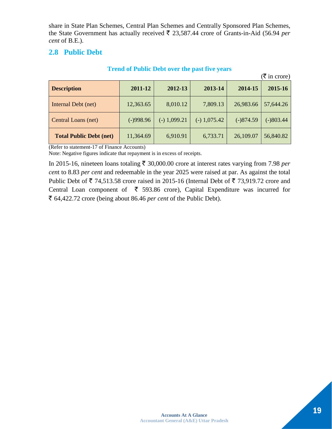share in State Plan Schemes, Central Plan Schemes and Centrally Sponsored Plan Schemes, the State Government has actually received  $\bar{\tau}$  23,587.44 crore of Grants-in-Aid (56.94 *per cent* of B.E.).

## **2.8 Public Debt**

|                                |             |                |                |             | $(\overline{\mathfrak{k}})$ in crore) |
|--------------------------------|-------------|----------------|----------------|-------------|---------------------------------------|
| <b>Description</b>             | 2011-12     | 2012-13        | 2013-14        | 2014-15     | 2015-16                               |
| Internal Debt (net)            | 12,363.65   | 8,010.12       | 7,809.13       | 26,983.66   | 57,644.26                             |
| Central Loans (net)            | $(-)998.96$ | $(-) 1,099.21$ | $(-)$ 1,075.42 | $(-)874.59$ | $(-)803.44$                           |
| <b>Total Public Debt (net)</b> | 11,364.69   | 6,910.91       | 6,733.71       | 26,109.07   | 56,840.82                             |

#### **Trend of Public Debt over the past five years**

(Refer to statement-17 of Finance Accounts)

Note: Negative figures indicate that repayment is in excess of receipts.

In 2015-16, nineteen loans totaling  $\bar{\tau}$  30,000.00 crore at interest rates varying from 7.98 *per cen*t to 8.83 *per cent* and redeemable in the year 2025 were raised at par. As against the total Public Debt of  $\bar{\tau}$  74,513.58 crore raised in 2015-16 (Internal Debt of  $\bar{\tau}$  73,919.72 crore and Central Loan component of  $\bar{\tau}$  593.86 crore), Capital Expenditure was incurred for ` 64,422.72 crore (being about 86.46 *per cent* of the Public Debt).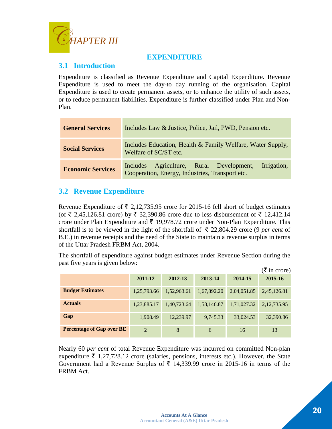

## **EXPENDITURE**

## **3.1 Introduction**

Expenditure is classified as Revenue Expenditure and Capital Expenditure. Revenue Expenditure is used to meet the day-to day running of the organisation. Capital Expenditure is used to create permanent assets, or to enhance the utility of such assets, or to reduce permanent liabilities. Expenditure is further classified under Plan and Non-Plan.

| <b>General Services</b>  | Includes Law & Justice, Police, Jail, PWD, Pension etc.                                                    |  |  |  |
|--------------------------|------------------------------------------------------------------------------------------------------------|--|--|--|
| <b>Social Services</b>   | Includes Education, Health & Family Welfare, Water Supply,<br>Welfare of SC/ST etc.                        |  |  |  |
| <b>Economic Services</b> | Includes Agriculture, Rural Development,<br>Irrigation,<br>Cooperation, Energy, Industries, Transport etc. |  |  |  |

## **3.2 Revenue Expenditure**

Revenue Expenditure of  $\bar{\tau}$  2,12,735.95 crore for 2015-16 fell short of budget estimates (of  $\bar{\xi}$  2,45,126.81 crore) by  $\bar{\xi}$  32,390.86 crore due to less disbursement of  $\bar{\xi}$  12,412.14 crore under Plan Expenditure and  $\bar{\tau}$  19,978.72 crore under Non-Plan Expenditure. This shortfall is to be viewed in the light of the shortfall of  $\bar{\tau}$  22,804.29 crore (9 *per cent* of B.E.) in revenue receipts and the need of the State to maintain a revenue surplus in terms of the Uttar Pradesh FRBM Act, 2004.

The shortfall of expenditure against budget estimates under Revenue Section during the past five years is given below:

|                                  |               |             |             |             | $(\bar{\bar{\mathbf{\mathsf{z}}}})$ in crore) |
|----------------------------------|---------------|-------------|-------------|-------------|-----------------------------------------------|
|                                  | 2011-12       | 2012-13     | 2013-14     | 2014-15     | 2015-16                                       |
| <b>Budget Estimates</b>          | 1,25,793.66   | 1,52,963.61 | 1,67,892.20 | 2,04,051.85 | 2,45,126.81                                   |
| <b>Actuals</b>                   | 1,23,885.17   | 1,40,723.64 | 1,58,146.87 | 1,71,027.32 | 2, 12, 735.95                                 |
| Gap                              | 1,908.49      | 12,239.97   | 9,745.33    | 33,024.53   | 32,390.86                                     |
| <b>Percentage of Gap over BE</b> | $\mathcal{L}$ | 8           | 6           | 16          | 13                                            |

Nearly 60 *per cent* of total Revenue Expenditure was incurred on committed Non-plan expenditure  $\bar{\tau}$  1,27,728.12 crore (salaries, pensions, interests etc.). However, the State Government had a Revenue Surplus of  $\bar{\tau}$  14,339.99 crore in 2015-16 in terms of the FRBM Act.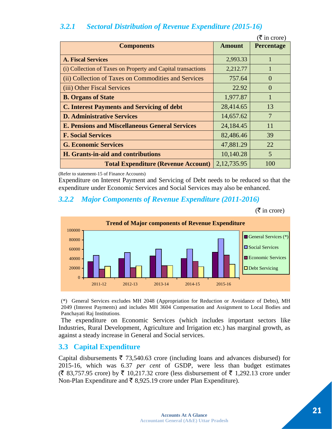## *3.2.1 Sectoral Distribution of Revenue Expenditure (2015-16)*

|                                                              |               | $(\bar{\mathbf{\mathcal{F}}}$ in crore) |
|--------------------------------------------------------------|---------------|-----------------------------------------|
| <b>Components</b>                                            | <b>Amount</b> | Percentage                              |
| <b>A. Fiscal Services</b>                                    | 2,993.33      |                                         |
| (i) Collection of Taxes on Property and Capital transactions | 2,212.77      | 1                                       |
| (ii) Collection of Taxes on Commodities and Services         | 757.64        | $\Omega$                                |
| (iii) Other Fiscal Services                                  | 22.92         | $\Omega$                                |
| <b>B. Organs of State</b>                                    | 1,977.87      | 1                                       |
| <b>C. Interest Payments and Servicing of debt</b>            | 28,414.65     | 13                                      |
| <b>D. Administrative Services</b>                            | 14,657.62     | $\overline{7}$                          |
| <b>E. Pensions and Miscellaneous General Services</b>        | 24,184.45     | 11                                      |
| <b>F. Social Services</b>                                    | 82,486.46     | 39                                      |
| <b>G. Economic Services</b>                                  | 47,881.29     | 22                                      |
| H. Grants-in-aid and contributions                           | 10,140.28     | 5                                       |
| <b>Total Expenditure (Revenue Account)</b>                   | 2, 12, 735.95 | 100                                     |

(Refer to statement-15 of Finance Accounts)

Expenditure on Interest Payment and Servicing of Debt needs to be reduced so that the expenditure under Economic Services and Social Services may also be enhanced.

#### *3.2.2 Major Components of Revenue Expenditure (2011-2016)*

 $(\bar{\mathbf{\mathsf{z}}}$  in crore)



(\*) General Services excludes MH 2048 (Appropriation for Reduction or Avoidance of Debts), MH 2049 (Interest Payments) and includes MH 3604 Compensation and Assignment to Local Bodies and Panchayati Raj Institutions.

The expenditure on Economic Services (which includes important sectors like Industries, Rural Development, Agriculture and Irrigation etc.) has marginal growth, as against a steady increase in General and Social services.

#### **3.3 Capital Expenditure**

Capital disbursements  $\bar{\tau}$  73,540.63 crore (including loans and advances disbursed) for 2015-16, which was 6.37 *per cent* of GSDP, were less than budget estimates  $(\bar{\mathfrak{F}} 83,757.95$  crore) by  $\bar{\mathfrak{F}} 10,217.32$  crore (less disbursement of  $\bar{\mathfrak{F}} 1,292.13$  crore under Non-Plan Expenditure and  $\bar{\xi}$  8,925.19 crore under Plan Expenditure).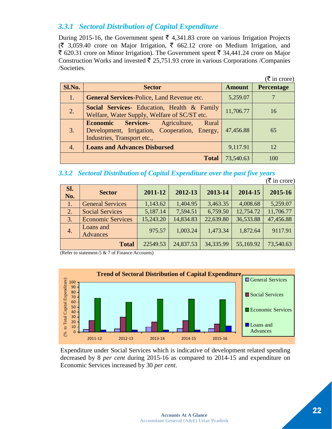## *3.3.1 Sectoral Distribution of Capital Expenditure*

During 2015-16, the Government spent  $\bar{\tau}$  4,341.83 crore on various Irrigation Projects  $(\bar{\zeta}$  3,059.40 crore on Major Irrigation,  $\bar{\zeta}$  662.12 crore on Medium Irrigation, and  $\bar{\xi}$  620.31 crore on Minor Irrigation). The Government spent  $\bar{\xi}$  34,441.24 crore on Major Construction Works and invested  $\bar{\tau}$  25,751.93 crore in various Corporations /Companies /Societies.

|        |                                                                                                                                           |               | $(\bar{\bar{\mathbf{\mathsf{z}}}})$ in crore) |
|--------|-------------------------------------------------------------------------------------------------------------------------------------------|---------------|-----------------------------------------------|
| Sl.No. | <b>Sector</b>                                                                                                                             | <b>Amount</b> | <b>Percentage</b>                             |
| 1.     | <b>General Services-Police, Land Revenue etc.</b>                                                                                         | 5,259.07      |                                               |
| 2.     | <b>Social Services-</b> Education, Health & Family<br>Welfare, Water Supply, Welfare of SC/ST etc.                                        | 11,706.77     | 16                                            |
| 3.     | <b>Economic</b><br><b>Services-</b> Agriculture,<br>Rural<br>Development, Irrigation, Cooperation, Energy,<br>Industries, Transport etc., | 47,456.88     | 65                                            |
| 4.     | <b>Loans and Advances Disbursed</b>                                                                                                       | 9,117.91      | 12                                            |
|        | <b>Total</b>                                                                                                                              | 73,540.63     | 100                                           |

#### *3.3.2 Sectoral Distribution of Capital Expenditure over the past five years*

|                  |                              |           |           |           |           | $(\bar{\bar{\mathbf{\mathsf{z}}}})$ in crore) |
|------------------|------------------------------|-----------|-----------|-----------|-----------|-----------------------------------------------|
| Sl.<br>No.       | <b>Sector</b>                | 2011-12   | 2012-13   | 2013-14   | 2014-15   | 2015-16                                       |
| 1.               | <b>General Services</b>      | 1,143.62  | 1,404.95  | 3,463.35  | 4,008.68  | 5,259.07                                      |
| 2.               | <b>Social Services</b>       | 5,187.14  | 7,594.51  | 6,759.50  | 12,754.72 | 11,706.77                                     |
| 3.               | <b>Economic Services</b>     | 15,243.20 | 14,834.83 | 22,639.80 | 36,533.88 | 47,456.88                                     |
| $\overline{4}$ . | Loans and<br><b>Advances</b> | 975.57    | 1,003.24  | 1,473.34  | 1,872.64  | 9117.91                                       |
|                  | <b>Total</b>                 | 22549.53  | 24,837.53 | 34,335.99 | 55,169.92 | 73,540.63                                     |

(Refer to statement-5 & 7 of Finance Accounts)



Expenditure under Social Services which is indicative of development related spending decreased by 8 *per cent* during 2015-16 as compared to 2014-15 and expenditure on Economic Services increased by 30 *per cent*.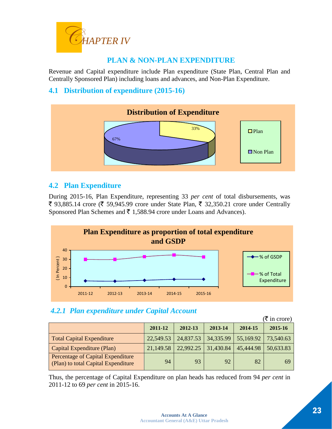

## **PLAN & NON-PLAN EXPENDITURE**

Revenue and Capital expenditure include Plan expenditure (State Plan, Central Plan and Centrally Sponsored Plan) including loans and advances, and Non-Plan Expenditure.

## **4.1 Distribution of expenditure (2015-16)**



## **4.2 Plan Expenditure**

During 2015-16, Plan Expenditure, representing 33 *per cent* of total disbursements, was ₹ 93,885.14 crore (₹ 59,945.99 crore under State Plan, ₹ 32,350.21 crore under Centrally Sponsored Plan Schemes and  $\bar{\tau}$  1,588.94 crore under Loans and Advances).



## *4.2.1 Plan expenditure under Capital Account*

|                                                                          |           |           |           |           | $(\bar{\bar{\mathbf{\tau}}}$ in crore) |
|--------------------------------------------------------------------------|-----------|-----------|-----------|-----------|----------------------------------------|
|                                                                          | 2011-12   | 2012-13   | 2013-14   | 2014-15   | 2015-16                                |
| <b>Total Capital Expenditure</b>                                         | 22,549.53 | 24,837.53 | 34,335.99 | 55,169.92 | 73,540.63                              |
| Capital Expenditure (Plan)                                               | 21,149.58 | 22,992.25 | 31,430.84 | 45,444.98 | 50,633.83                              |
| Percentage of Capital Expenditure<br>(Plan) to total Capital Expenditure | 94        | 93        | 92        | 82        | 69                                     |

Thus, the percentage of Capital Expenditure on plan heads has reduced from 94 *per cent* in 2011-12 to 69 *per cent* in 2015-16.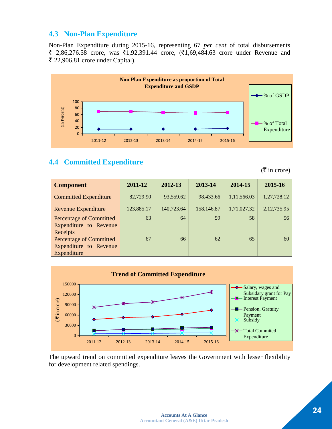#### **4.3 Non-Plan Expenditure**

Non-Plan Expenditure during 2015-16, representing 67 *per cent* of total disbursements  $\bar{\xi}$  2,86,276.58 crore, was  $\bar{\xi}$ 1,92,391.44 crore, ( $\bar{\xi}$ 1,69,484.63 crore under Revenue and ₹ 22,906.81 crore under Capital).



## **4.4 Committed Expenditure**

 $(\overline{\mathbf{\xi}})$  in crore)

| <b>Component</b>                                                        | 2011-12    | 2012-13    | 2013-14    | 2014-15     | 2015-16     |
|-------------------------------------------------------------------------|------------|------------|------------|-------------|-------------|
| <b>Committed Expenditure</b>                                            | 82,729.90  | 93,559.62  | 98,433.66  | 1,11,566.03 | 1,27,728.12 |
| <b>Revenue Expenditure</b>                                              | 123,885.17 | 140,723.64 | 158,146.87 | 1,71,027.32 | 2,12,735.95 |
| <b>Percentage of Committed</b><br>Expenditure to Revenue<br>Receipts    | 63         | 64         | 59         | 58          | 56          |
| <b>Percentage of Committed</b><br>Expenditure to Revenue<br>Expenditure | 67         | 66         | 62         | 65          | 60          |



The upward trend on committed expenditure leaves the Government with lesser flexibility for development related spendings.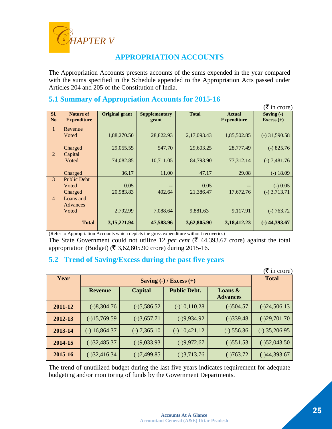

## **APPROPRIATION ACCOUNTS**

The Appropriation Accounts presents accounts of the sums expended in the year compared with the sums specified in the Schedule appended to the Appropriation Acts passed under Articles 204 and 205 of the Constitution of India.

## **5.1 Summary of Appropriation Accounts for 2015-16**

|                       |                                        |                       |                               |                   |                                     | $(\overline{\mathfrak{k}})$ in crore) |
|-----------------------|----------------------------------------|-----------------------|-------------------------------|-------------------|-------------------------------------|---------------------------------------|
| Sl.<br>N <sub>o</sub> | <b>Nature of</b><br><b>Expenditure</b> | <b>Original grant</b> | <b>Supplementary</b><br>grant | <b>Total</b>      | <b>Actual</b><br><b>Expenditure</b> | Saving $(-)$<br>Excess $(+)$          |
| $\mathbf{1}$          | Revenue<br>Voted                       | 1,88,270.50           | 28,822.93                     | 2,17,093.43       | 1,85,502.85                         | $(-)$ 31,590.58                       |
|                       | Charged                                | 29,055.55             | 547.70                        | 29,603.25         | 28,777.49                           | $(-) 825.76$                          |
| $\overline{2}$        | Capital<br>Voted                       | 74,082.85             | 10,711.05                     | 84,793.90         | 77,312.14                           | $(-) 7,481.76$                        |
|                       | Charged                                | 36.17                 | 11.00                         | 47.17             | 29.08                               | $(-) 18.09$                           |
| 3                     | <b>Public Debt</b><br>Voted<br>Charged | 0.05<br>20,983.83     | 402.64                        | 0.05<br>21,386.47 | 17,672.76                           | $(-)$ 0.05<br>$(-)$ 3,713.71          |
| $\overline{4}$        | Loans and<br><b>Advances</b><br>Voted  | 2,792.99              | 7,088.64                      | 9,881.63          | 9,117.91                            | $(-) 763.72$                          |
|                       | <b>Total</b>                           | 3,15,221.94           | 47,583.96                     | 3,62,805.90       | 3,18,412.23                         | $(-)$ 44,393.67                       |

(Refer to Appropriation Accounts which depicts the gross expenditure without recoveries)

The State Government could not utilize 12 *per cent* ( $\bar{\tau}$  44,393.67 crore) against the total appropriation (Budget) ( $\bar{\tau}$  3,62,805.90 crore) during 2015-16.

## **5.2 Trend of Saving/Excess during the past five years**

|         | $(\overline{\mathbf{\zeta}})$ in crore) |                |                                                                 |                               |                 |
|---------|-----------------------------------------|----------------|-----------------------------------------------------------------|-------------------------------|-----------------|
| Year    |                                         |                | Saving $\left(\text{-}\right)$ / Excess $\left(\text{+}\right)$ |                               | <b>Total</b>    |
|         | <b>Revenue</b>                          | <b>Capital</b> | <b>Public Debt.</b>                                             | Loans $\&$<br><b>Advances</b> |                 |
| 2011-12 | $(-)8,304.76$                           | $(-)5,586.52$  | $(-)10,110.28$                                                  | $(-)504.57$                   | $(-)24,506.13$  |
| 2012-13 | $(-)15,769.59$                          | $(-)3,657.71$  | $(-)9,934.92$                                                   | $(-)339.48$                   | $(-)29,701.70$  |
| 2013-14 | $(-) 16,864.37$                         | $(-) 7,365.10$ | $(-)$ 10,421.12                                                 | $(-)$ 556.36                  | $(-)$ 35,206.95 |
| 2014-15 | $(-)32,485.37$                          | $(-)9,033.93$  | $(-)9,972.67$                                                   | $(-)$ 551.53                  | $(-)52,043.50$  |
| 2015-16 | $(-)32,416.34$                          | $(-)7,499.85$  | $(-)3,713.76$                                                   | $(-)763.72$                   | $(-)44,393.67$  |

The trend of unutilized budget during the last five years indicates requirement for adequate budgeting and/or monitoring of funds by the Government Departments.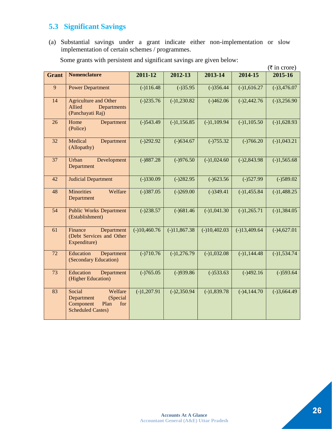## **5.3 Significant Savings**

(a) Substantial savings under a grant indicate either non-implementation or slow implementation of certain schemes / programmes.

|                 |                                                                                                     |                |                        |                |                | $(\overline{\tau}$ in crore) |
|-----------------|-----------------------------------------------------------------------------------------------------|----------------|------------------------|----------------|----------------|------------------------------|
| <b>Grant</b>    | <b>Nomenclature</b>                                                                                 | 2011-12        | 2012-13                | 2013-14        | 2014-15        | 2015-16                      |
| $\overline{9}$  | <b>Power Department</b>                                                                             | $(-)116.48$    | $(-)35.95$             | $(-)356.44$    | $(-)1,616.27$  | $(-)3,476.07$                |
| 14              | <b>Agriculture and Other</b><br>Allied<br>Departments<br>(Panchayati Raj)                           | $(-)235.76$    | $(-)1,230.82$          | $(-)462.06$    | $(-)2,442.76$  | $(-)3,256.90$                |
| 26              | Home<br>Department<br>(Police)                                                                      | $(-)543.49$    | $(-)1,156.85$          | $(-)1,109.94$  | $(-)1,105.50$  | $(-)1,628.93$                |
| 32              | Medical<br>Department<br>(Allopathy)                                                                | $(-)292.92$    | $(-)634.67$            | $(-)755.32$    | $(-)766.20$    | $(-)1,043.21$                |
| $\overline{37}$ | Urban<br>Development<br>Department                                                                  | $(-)887.28$    | $(-)976.50$            | $(-)1,024.60$  | $(-)2,843.98$  | $(-)1,565.68$                |
| 42              | <b>Judicial Department</b>                                                                          | $(-)330.09$    | $(-)282.95$            | $(-)623.56$    | $(-)527.99$    | $(-)589.02$                  |
| 48              | <b>Minorities</b><br>Welfare<br>Department                                                          | $(-)387.05$    | $(-)269.00$            | $(-)349.41$    | $(-)1,455.84$  | $(-)1,488.25$                |
| 54              | <b>Public Works Department</b><br>(Establishment)                                                   | $(-)238.57$    | $\overline{(-)681.46}$ | $(-)1,041.30$  | $(-)1,265.71$  | $(-)1,384.05$                |
| 61              | Finance<br>Department<br>(Debt Services and Other<br>Expenditure)                                   | $(-)10,460.76$ | $(-)11,867.38$         | $(-)10,402.03$ | $(-)13,409.64$ | $(-)4,627.01$                |
| 72              | Education<br>Department<br>(Secondary Education)                                                    | $(-)710.76$    | $(-)1,276.79$          | $(-)1,032.08$  | $(-)1,144.48$  | $(-)1,534.74$                |
| $\overline{73}$ | Education<br>Department<br>(Higher Education)                                                       | $(-)765.05$    | $(-)939.86$            | $(-)533.63$    | $(-)492.16$    | $(-)593.64$                  |
| 83              | Social<br>Welfare<br>(Special<br>Department<br>Component<br>Plan<br>for<br><b>Scheduled Castes)</b> | $(-)1,207.91$  | $(-)2,350.94$          | $(-)1,839.78$  | $(-)4,144.70$  | $(-)3,664.49$                |

Some grants with persistent and significant savings are given below: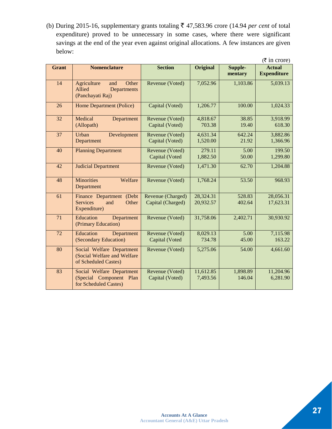(b) During 2015-16, supplementary grants totaling  $\bar{\tau}$  47,583.96 crore (14.94 *per cent* of total expenditure) proved to be unnecessary in some cases, where there were significant savings at the end of the year even against original allocations. A few instances are given below:

|                 |                                                                                  |                                        |                        |                    | $(\overline{\tau}$ in crore)        |
|-----------------|----------------------------------------------------------------------------------|----------------------------------------|------------------------|--------------------|-------------------------------------|
| <b>Grant</b>    | <b>Nomenclature</b>                                                              | <b>Section</b>                         | <b>Original</b>        | Supple-<br>mentary | <b>Actual</b><br><b>Expenditure</b> |
| $\overline{14}$ | Other<br>Agriculture<br>and<br>Allied<br>Departments<br>(Panchayati Raj)         | Revenue (Voted)                        | 7,052.96               | 1,103.86           | 5,039.13                            |
| 26              | Home Department (Police)                                                         | Capital (Voted)                        | 1,206.77               | 100.00             | 1,024.33                            |
| 32              | Medical<br>Department<br>(Allopath)                                              | Revenue (Voted)<br>Capital (Voted)     | 4,818.67<br>703.38     | 38.85<br>19.40     | 3,918.99<br>618.30                  |
| 37              | Urban<br>Development<br>Department                                               | Revenue (Voted)<br>Capital (Voted)     | 4,631.34<br>1,520.00   | 642.24<br>21.92    | 3,882.86<br>1,366.96                |
| 40              | <b>Planning Department</b>                                                       | Revenue (Voted)<br>Capital (Voted      | 279.11<br>1,882.50     | 5.00<br>50.00      | 199.50<br>1,299.80                  |
| 42              | <b>Judicial Department</b>                                                       | Revenue (Voted)                        | 1,471.30               | 62.70              | 1,204.88                            |
| 48              | <b>Minorities</b><br>Welfare<br>Department                                       | Revenue (Voted)                        | 1,768.24               | 53.50              | 968.93                              |
| 61              | Finance Department (Debt<br><b>Services</b><br>Other<br>and<br>Expenditure)      | Revenue (Charged)<br>Capital (Charged) | 28,324.31<br>20,932.57 | 528.83<br>402.64   | 28,056.31<br>17,623.31              |
| $\overline{71}$ | Education<br>Department<br>(Primary Education)                                   | Revenue (Voted)                        | 31,758.06              | 2,402.71           | 30,930.92                           |
| 72              | Education<br>Department<br>(Secondary Education)                                 | Revenue (Voted)<br>Capital (Voted      | 8,029.13<br>734.78     | 5.00<br>45.00      | 7,115.98<br>163.22                  |
| 80              | Social Welfare Department<br>(Social Welfare and Welfare<br>of Scheduled Castes) | Revenue (Voted)                        | 5,275.06               | 54.00              | 4,661.60                            |
| 83              | Social Welfare Department<br>(Special Component<br>Plan<br>for Scheduled Castes) | Revenue (Voted)<br>Capital (Voted)     | 11,612.85<br>7,493.56  | 1,898.89<br>146.04 | 11,204.96<br>6,281.90               |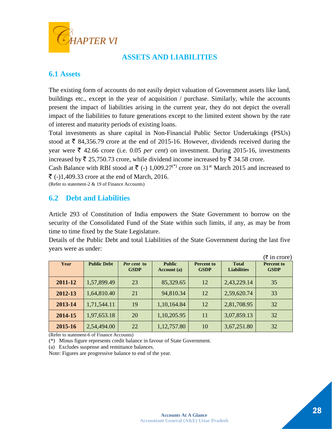

## **ASSETS AND LIABILITIES**

## **6.1 Assets**

The existing form of accounts do not easily depict valuation of Government assets like land, buildings etc., except in the year of acquisition / purchase. Similarly, while the accounts present the impact of liabilities arising in the current year, they do not depict the overall impact of the liabilities to future generations except to the limited extent shown by the rate of interest and maturity periods of existing loans.

Total investments as share capital in Non-Financial Public Sector Undertakings (PSUs) stood at  $\bar{\tau}$  84,356.79 crore at the end of 2015-16. However, dividends received during the year were  $\bar{\xi}$  42.66 crore (i.e. 0.05 *per cent*) on investment. During 2015-16, investments increased by  $\bar{\tau}$  25,750.73 crore, while dividend income increased by  $\bar{\tau}$  34.58 crore.

Cash Balance with RBI stood at  $\bar{\tau}$  (-) 1,009.27<sup>(\*)</sup> crore on 31<sup>st</sup> March 2015 and increased to  $\bar{\xi}$  (-)1,409.33 crore at the end of March, 2016.

(Refer to statement-2 & 19 of Finance Accounts)

#### **6.2 Debt and Liabilities**

Article 293 of Constitution of India empowers the State Government to borrow on the security of the Consolidated Fund of the State within such limits, if any, as may be from time to time fixed by the State Legislature.

Details of the Public Debt and total Liabilities of the State Government during the last five years were as under:

|         |                    |                            |                              |                                  |                                    | $(\overline{\tau}$ in crore)     |
|---------|--------------------|----------------------------|------------------------------|----------------------------------|------------------------------------|----------------------------------|
| Year    | <b>Public Debt</b> | Per cent to<br><b>GSDP</b> | <b>Public</b><br>Account (a) | <b>Percent</b> to<br><b>GSDP</b> | <b>Total</b><br><b>Liabilities</b> | <b>Percent to</b><br><b>GSDP</b> |
| 2011-12 | 1,57,899.49        | 23                         | 85,329.65                    | 12                               | 2,43,229.14                        | 35                               |
| 2012-13 | 1,64,810.40        | 21                         | 94,810.34                    | 12                               | 2,59,620.74                        | 33                               |
| 2013-14 | 1,71,544.11        | 19                         | 1,10,164.84                  | 12                               | 2,81,708.95                        | 32                               |
| 2014-15 | 1,97,653.18        | 20                         | 1,10,205.95                  | 11                               | 3,07,859.13                        | 32                               |
| 2015-16 | 2,54,494.00        | 22                         | 1,12,757.80                  | 10                               | 3,67,251.80                        | 32                               |

(Refer to statement-6 of Finance Accounts)

(\*) Minus figure represents credit balance in favour of State Government.

(a) Excludes suspense and remittance balances.

Note: Figures are progressive balance to end of the year.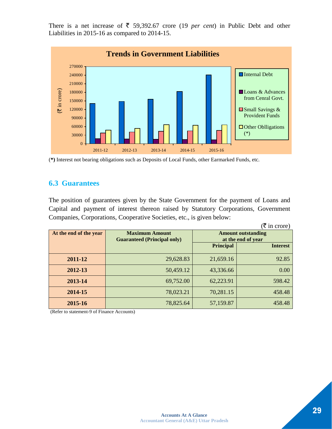There is a net increase of  $\overline{5}$  59,392.67 crore (19 *per cent*) in Public Debt and other Liabilities in 2015-16 as compared to 2014-15.



<sup>(</sup>**\*)** Interest not bearing obligations such as Deposits of Local Funds, other Earmarked Funds, etc.

## **6.3 Guarantees**

The position of guarantees given by the State Government for the payment of Loans and Capital and payment of interest thereon raised by Statutory Corporations, Government Companies, Corporations, Cooperative Societies, etc., is given below:

|                        |                                    |                           | $(\overline{\mathfrak{F}})$ in crore) |  |
|------------------------|------------------------------------|---------------------------|---------------------------------------|--|
| At the end of the year | <b>Maximum Amount</b>              | <b>Amount outstanding</b> |                                       |  |
|                        | <b>Guaranteed (Principal only)</b> |                           | at the end of year                    |  |
|                        |                                    | <b>Principal</b>          | <b>Interest</b>                       |  |
| 2011-12                | 29,628.83                          | 21,659.16                 | 92.85                                 |  |
| 2012-13                | 50,459.12                          | 43,336.66                 | 0.00                                  |  |
| 2013-14                | 69,752.00                          | 62,223.91                 | 598.42                                |  |
| 2014-15                | 78,023.21                          | 70,281.15                 | 458.48                                |  |
| 2015-16                | 78,825.64                          | 57,159.87                 | 458.48                                |  |

(Refer to statement-9 of Finance Accounts)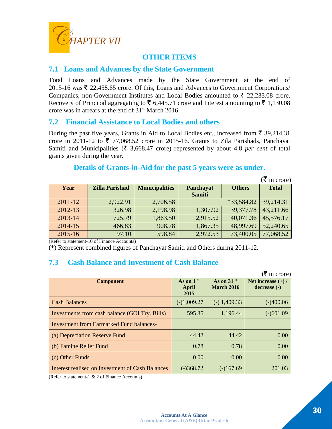

#### **OTHER ITEMS**

#### **7.1 Loans and Advances by the State Government**

Total Loans and Advances made by the State Government at the end of 2015-16 was  $\bar{\tau}$  22,458.65 crore. Of this, Loans and Advances to Government Corporations/ Companies, non-Government Institutes and Local Bodies amounted to  $\bar{\tau}$  22,233.08 crore. Recovery of Principal aggregating to  $\bar{\tau}$  6,445.71 crore and Interest amounting to  $\bar{\tau}$  1,130.08 crore was in arrears at the end of 31st March 2016.

#### **7.2 Financial Assistance to Local Bodies and others**

During the past five years, Grants in Aid to Local Bodies etc., increased from  $\bar{\tau}$  39,214.31 crore in 2011-12 to  $\overline{\xi}$  77,068.52 crore in 2015-16. Grants to Zila Parishads, Panchayat Samiti and Municipalities  $(\bar{\tau})$  3,668.47 crore) represented by about 4.8 *per cent* of total grants given during the year.

#### **Details of Grants-in-Aid for the past 5 years were as under.**

|             |                       |                       |                            |            | $(\overline{\mathbf{\overline{z}}}$ in crore) |
|-------------|-----------------------|-----------------------|----------------------------|------------|-----------------------------------------------|
| Year        | <b>Zilla Parishad</b> | <b>Municipalities</b> | <b>Others</b><br>Panchayat |            | <b>Total</b>                                  |
|             |                       |                       | <b>Samiti</b>              |            |                                               |
| $2011 - 12$ | 2,922.91              | 2,706.58              |                            | *33,584.82 | 39,214.31                                     |
| 2012-13     | 326.98                | 2,198.98              | 1,307.92                   | 39,377.78  | 43,211.66                                     |
| 2013-14     | 725.79                | 1,863.50              | 2,915.52                   | 40,071.36  | 45,576.17                                     |
| 2014-15     | 466.83                | 908.78                | 1,867.35                   | 48,997.69  | 52,240.65                                     |
| 2015-16     | 97.10                 | 598.84                | 2,972.53                   | 73,400.05  | 77,068.52                                     |

(Refer to statement-10 of Finance Accounts)

(\*) Represent combined figures of Panchayat Samiti and Others during 2011-12.

## **7.3 Cash Balance and Investment of Cash Balance**

|                                                  |                              |                                               | $(\bar{\bar{\mathbf{\mathsf{z}}}})$ in crore) |
|--------------------------------------------------|------------------------------|-----------------------------------------------|-----------------------------------------------|
| <b>Component</b>                                 | As on $1st$<br>April<br>2015 | As on $31$ <sup>st</sup><br><b>March 2016</b> | Net increase $(+)$ /<br>decrease (-)          |
| <b>Cash Balances</b>                             | $(-)1,009.27$                | $(-)$ 1,409.33                                | $(-)400.06$                                   |
| Investments from cash balance (GOI Try. Bills)   | 595.35                       | 1,196.44                                      | $(-)601.09$                                   |
| <b>Investment from Earmarked Fund balances-</b>  |                              |                                               |                                               |
| (a) Depreciation Reserve Fund                    | 44.42                        | 44.42                                         | 0.00                                          |
| (b) Famine Relief Fund                           | 0.78                         | 0.78                                          | 0.00                                          |
| (c) Other Funds                                  | 0.00                         | 0.00                                          | 0.00                                          |
| Interest realised on Investment of Cash Balances | $(-)368.72$                  | $(-)167.69$                                   | 201.03                                        |

(Refer to statement-1 & 2 of Finance Accounts)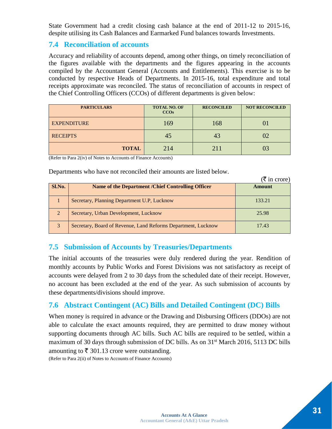State Government had a credit closing cash balance at the end of 2011-12 to 2015-16, despite utilising its Cash Balances and Earmarked Fund balances towards Investments.

#### **7.4 Reconciliation of accounts**

Accuracy and reliability of accounts depend, among other things, on timely reconciliation of the figures available with the departments and the figures appearing in the accounts compiled by the Accountant General (Accounts and Entitlements). This exercise is to be conducted by respective Heads of Departments. In 2015-16, total expenditure and total receipts approximate was reconciled. The status of reconciliation of accounts in respect of the Chief Controlling Officers (CCOs) of different departments is given below:

| <b>PARTICULARS</b> | <b>TOTAL NO. OF</b><br>CCOs | <b>RECONCILED</b> | <b>NOT RECONCILED</b> |
|--------------------|-----------------------------|-------------------|-----------------------|
| <b>EXPENDITURE</b> | 169                         | 168               |                       |
| <b>RECEIPTS</b>    | 45                          | 43                |                       |
| <b>TOTAL</b>       | 214                         | 2.11              |                       |

(Refer to Para 2(iv) of Notes to Accounts of Finance Accounts)

Departments who have not reconciled their amounts are listed below.

|        |                                                               | $(\bar{\bar{\mathbf{\tau}}}$ in crore) |
|--------|---------------------------------------------------------------|----------------------------------------|
| Sl.No. | Name of the Department / Chief Controlling Officer            | Amount                                 |
|        | Secretary, Planning Department U.P, Lucknow                   | 133.21                                 |
| 2      | Secretary, Urban Development, Lucknow                         | 25.98                                  |
| 3      | Secretary, Board of Revenue, Land Reforms Department, Lucknow | 17.43                                  |

## **7.5 Submission of Accounts by Treasuries/Departments**

The initial accounts of the treasuries were duly rendered during the year. Rendition of monthly accounts by Public Works and Forest Divisions was not satisfactory as receipt of accounts were delayed from 2 to 30 days from the scheduled date of their receipt. However, no account has been excluded at the end of the year. As such submission of accounts by these departments/divisions should improve.

## **7.6 Abstract Contingent (AC) Bills and Detailed Contingent (DC) Bills**

When money is required in advance or the Drawing and Disbursing Officers (DDOs) are not able to calculate the exact amounts required, they are permitted to draw money without supporting documents through AC bills. Such AC bills are required to be settled, within a maximum of 30 days through submission of DC bills. As on  $31<sup>st</sup>$  March 2016, 5113 DC bills amounting to  $\bar{\tau}$  301.13 crore were outstanding.

(Refer to Para 2(ii) of Notes to Accounts of Finance Accounts)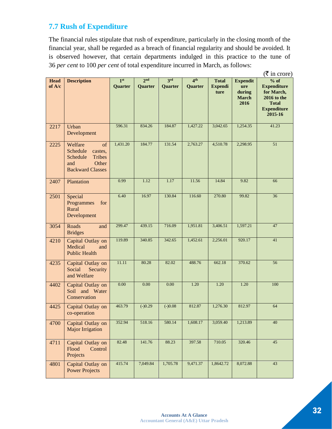## **7.7 Rush of Expenditure**

The financial rules stipulate that rush of expenditure, particularly in the closing month of the financial year, shall be regarded as a breach of financial regularity and should be avoided. It is observed however, that certain departments indulged in this practice to the tune of 36 *per cent* to 100 *per cent* of total expenditure incurred in March, as follows:

|                       | $(\bar{\bar{\mathbf{\mathsf{z}}}})$ in crore)                                                                |                            |                            |                |                            |                                        |                                                          |                                                                                                            |
|-----------------------|--------------------------------------------------------------------------------------------------------------|----------------------------|----------------------------|----------------|----------------------------|----------------------------------------|----------------------------------------------------------|------------------------------------------------------------------------------------------------------------|
| <b>Head</b><br>of A/c | <b>Description</b>                                                                                           | 1 <sup>st</sup><br>Quarter | 2 <sub>nd</sub><br>Quarter | 3rd<br>Quarter | 4 <sup>th</sup><br>Quarter | <b>Total</b><br><b>Expendi</b><br>ture | <b>Expendit</b><br>ure<br>during<br><b>March</b><br>2016 | $%$ of<br><b>Expenditure</b><br>for March,<br>2016 to the<br><b>Total</b><br><b>Expenditure</b><br>2015-16 |
| 2217                  | Urban<br>Development                                                                                         | 596.31                     | 834.26                     | 184.87         | 1,427.22                   | 3,042.65                               | 1,254.35                                                 | 41.23                                                                                                      |
| 2225                  | Welfare<br>of<br>Schedule<br>castes,<br>Schedule<br><b>Tribes</b><br>Other<br>and<br><b>Backward Classes</b> | 1,431.20                   | 184.77                     | 131.54         | 2,763.27                   | 4,510.78                               | 2,298.95                                                 | 51                                                                                                         |
| 2407                  | Plantation                                                                                                   | 0.99                       | 1.12                       | 1.17           | 11.56                      | 14.84                                  | 9.82                                                     | 66                                                                                                         |
| 2501                  | Special<br>Programmes<br>for<br>Rural<br>Development                                                         | 6.40                       | 16.97                      | 130.84         | 116.60                     | 270.80                                 | 99.82                                                    | 36                                                                                                         |
| 3054                  | Roads<br>and<br><b>Bridges</b>                                                                               | 299.47                     | 439.15                     | 716.09         | 1,951.81                   | 3,406.51                               | 1,597.21                                                 | 47                                                                                                         |
| 4210                  | Capital Outlay on<br>Medical<br>and<br><b>Public Health</b>                                                  | 119.89                     | 340.85                     | 342.65         | 1,452.61                   | 2,256.01                               | 920.17                                                   | 41                                                                                                         |
| 4235                  | Capital Outlay on<br>Social<br>Security<br>and Welfare                                                       | 11.11                      | 80.28                      | 82.02          | 488.76                     | 662.18                                 | 370.62                                                   | 56                                                                                                         |
| 4402                  | Capital Outlay on<br>Soil and Water<br>Conservation                                                          | 0.00                       | 0.00                       | 0.00           | 1.20                       | 1.20                                   | 1.20                                                     | 100                                                                                                        |
| 4425                  | Capital Outlay on<br>co-operation                                                                            | 463.79                     | $(-)0.29$                  | $(-)0.08$      | 812.87                     | 1,276.30                               | 812.97                                                   | 64                                                                                                         |
| 4700                  | Capital Outlay on<br><b>Major Irrigation</b>                                                                 | 352.94                     | 518.16                     | 580.14         | 1,608.17                   | 3,059.40                               | 1,213.89                                                 | 40                                                                                                         |
| 4711                  | Capital Outlay on<br>Flood<br>Control<br>Projects                                                            | 82.48                      | 141.76                     | 88.23          | 397.58                     | 710.05                                 | 320.46                                                   | 45                                                                                                         |
| 4801                  | Capital Outlay on<br><b>Power Projects</b>                                                                   | 415.74                     | 7,049.84                   | 1,705.78       | 9,471.37                   | 1,8642.72                              | 8,072.88                                                 | 43                                                                                                         |